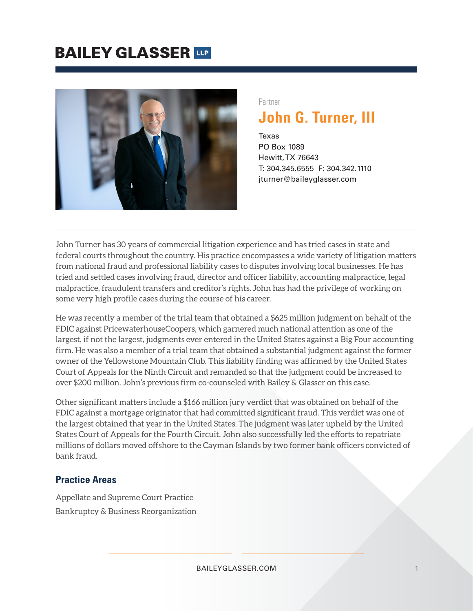## **BAILEY GLASSER TIP**



### Partner **John G. Turner, III**

Texas PO Box 1089 Hewitt, TX 76643 T: 304.345.6555 F: 304.342.1110 jturner@baileyglasser.com

John Turner has 30 years of commercial litigation experience and has tried cases in state and federal courts throughout the country. His practice encompasses a wide variety of litigation matters from national fraud and professional liability cases to disputes involving local businesses. He has tried and settled cases involving fraud, director and officer liability, accounting malpractice, legal malpractice, fraudulent transfers and creditor's rights. John has had the privilege of working on some very high profile cases during the course of his career.

He was recently a member of the trial team that obtained a \$625 million judgment on behalf of the FDIC against PricewaterhouseCoopers, which garnered much national attention as one of the largest, if not the largest, judgments ever entered in the United States against a Big Four accounting firm. He was also a member of a trial team that obtained a substantial judgment against the former owner of the Yellowstone Mountain Club. This liability finding was affirmed by the United States Court of Appeals for the Ninth Circuit and remanded so that the judgment could be increased to over \$200 million. John's previous firm co-counseled with Bailey & Glasser on this case.

Other significant matters include a \$166 million jury verdict that was obtained on behalf of the FDIC against a mortgage originator that had committed significant fraud. This verdict was one of the largest obtained that year in the United States. The judgment was later upheld by the United States Court of Appeals for the Fourth Circuit. John also successfully led the efforts to repatriate millions of dollars moved offshore to the Cayman Islands by two former bank officers convicted of bank fraud.

#### **Practice Areas**

Appellate and Supreme Court Practice Bankruptcy & Business Reorganization